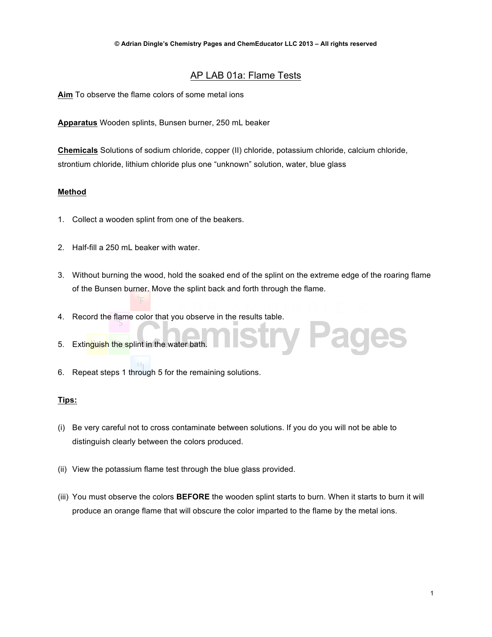## AP LAB 01a: Flame Tests

**Aim** To observe the flame colors of some metal ions

**Apparatus** Wooden splints, Bunsen burner, 250 mL beaker

**Chemicals** Solutions of sodium chloride, copper (II) chloride, potassium chloride, calcium chloride, strontium chloride, lithium chloride plus one "unknown" solution, water, blue glass

### **Method**

- 1. Collect a wooden splint from one of the beakers.
- 2. Half-fill a 250 mL beaker with water.
- 3. Without burning the wood, hold the soaked end of the splint on the extreme edge of the roaring flame of the Bunsen burner. Move the splint back and forth through the flame.

try Pages

- 4. Record the flame color that you observe in the results table.
- 5. Extinguish the splint in the water bath.
- 6. Repeat steps 1 through 5 for the remaining solutions.

### **Tips:**

- (i) Be very careful not to cross contaminate between solutions. If you do you will not be able to distinguish clearly between the colors produced.
- (ii) View the potassium flame test through the blue glass provided.
- (iii) You must observe the colors **BEFORE** the wooden splint starts to burn. When it starts to burn it will produce an orange flame that will obscure the color imparted to the flame by the metal ions.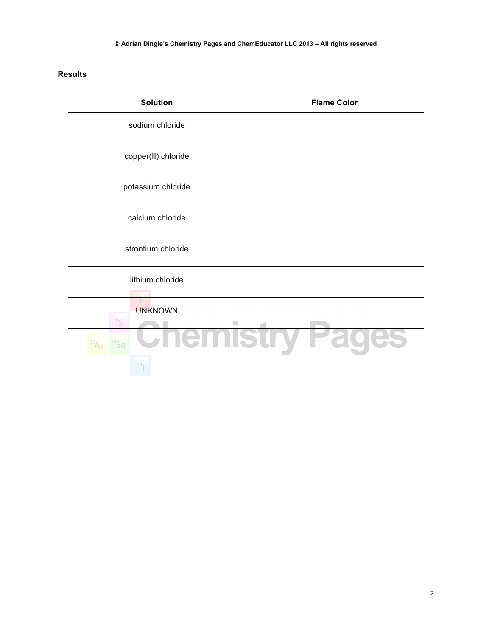# **Results**

| <b>Solution</b>                   | <b>Flame Color</b> |
|-----------------------------------|--------------------|
| sodium chloride                   |                    |
| copper(II) chloride               |                    |
| potassium chloride                |                    |
| calcium chloride                  |                    |
| strontium chloride                |                    |
| lithium chloride                  |                    |
| <b>UNKNOWN</b><br>16 <sub>C</sub> |                    |
|                                   |                    |
|                                   |                    |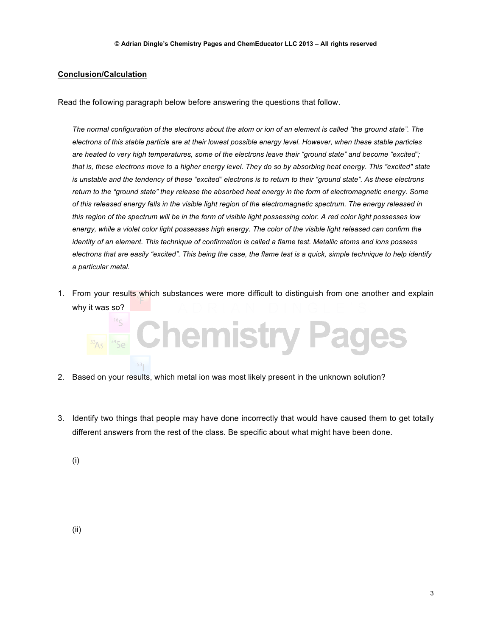#### **Conclusion/Calculation**

Read the following paragraph below before answering the questions that follow.

*The normal configuration of the electrons about the atom or ion of an element is called "the ground state". The electrons of this stable particle are at their lowest possible energy level. However, when these stable particles are heated to very high temperatures, some of the electrons leave their "ground state" and become "excited"; that is, these electrons move to a higher energy level. They do so by absorbing heat energy. This "excited" state is unstable and the tendency of these "excited" electrons is to return to their "ground state". As these electrons return to the "ground state" they release the absorbed heat energy in the form of electromagnetic energy. Some of this released energy falls in the visible light region of the electromagnetic spectrum. The energy released in this region of the spectrum will be in the form of visible light possessing color. A red color light possesses low*  energy, while a violet color light possesses high energy. The color of the visible light released can confirm the *identity of an element. This technique of confirmation is called a flame test. Metallic atoms and ions possess electrons that are easily "excited". This being the case, the flame test is a quick, simple technique to help identify a particular metal.*

1. From your results which substances were more difficult to distinguish from one another and explain why it was so?



- 2. Based on your results, which metal ion was most likely present in the unknown solution?
- 3. Identify two things that people may have done incorrectly that would have caused them to get totally different answers from the rest of the class. Be specific about what might have been done.

(i)

(ii)